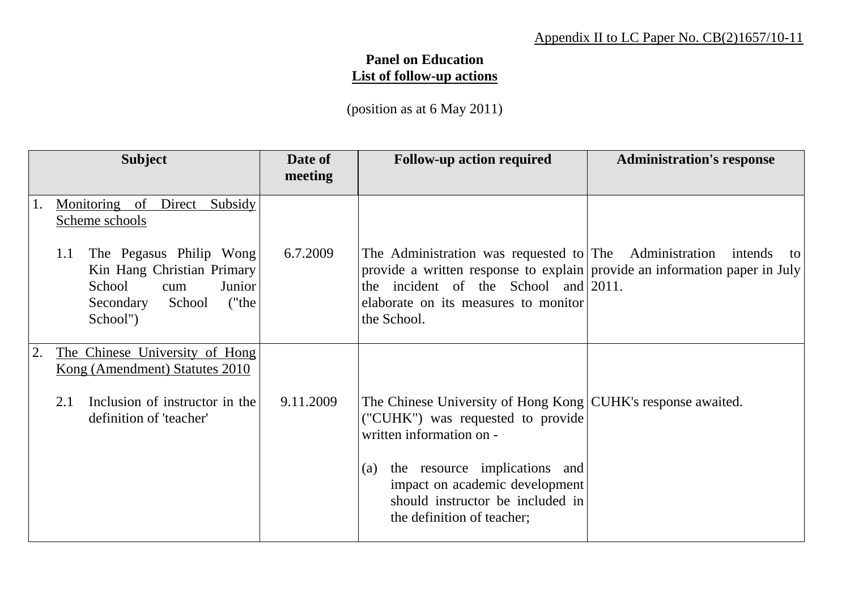## Appendix II to LC Paper No. CB(2)1657/10-11

## **Panel on Education List of follow-up actions**

(position as at 6 May 2011)

|                | <b>Subject</b>                                                                                                                      | Date of<br>meeting | <b>Follow-up action required</b>                                                                                                                                                                                                        | <b>Administration's response</b> |
|----------------|-------------------------------------------------------------------------------------------------------------------------------------|--------------------|-----------------------------------------------------------------------------------------------------------------------------------------------------------------------------------------------------------------------------------------|----------------------------------|
| $\mathbf{1}$ . | Monitoring of Direct Subsidy<br>Scheme schools                                                                                      |                    |                                                                                                                                                                                                                                         |                                  |
|                | The Pegasus Philip Wong<br>1.1<br>Kin Hang Christian Primary<br>School<br>Junior<br>cum<br>("the<br>Secondary<br>School<br>School") | 6.7.2009           | The Administration was requested to The Administration<br>provide a written response to explain provide an information paper in July<br>the incident of the School and $ 2011$ .<br>elaborate on its measures to monitor<br>the School. | intends<br>to                    |
|                | The Chinese University of Hong<br>Kong (Amendment) Statutes 2010                                                                    |                    |                                                                                                                                                                                                                                         |                                  |
|                | Inclusion of instructor in the<br>2.1<br>definition of 'teacher'                                                                    | 9.11.2009          | The Chinese University of Hong Kong CUHK's response awaited.<br>("CUHK") was requested to provide<br>written information on -                                                                                                           |                                  |
|                |                                                                                                                                     |                    | the resource implications and<br>(a)<br>impact on academic development<br>should instructor be included in<br>the definition of teacher;                                                                                                |                                  |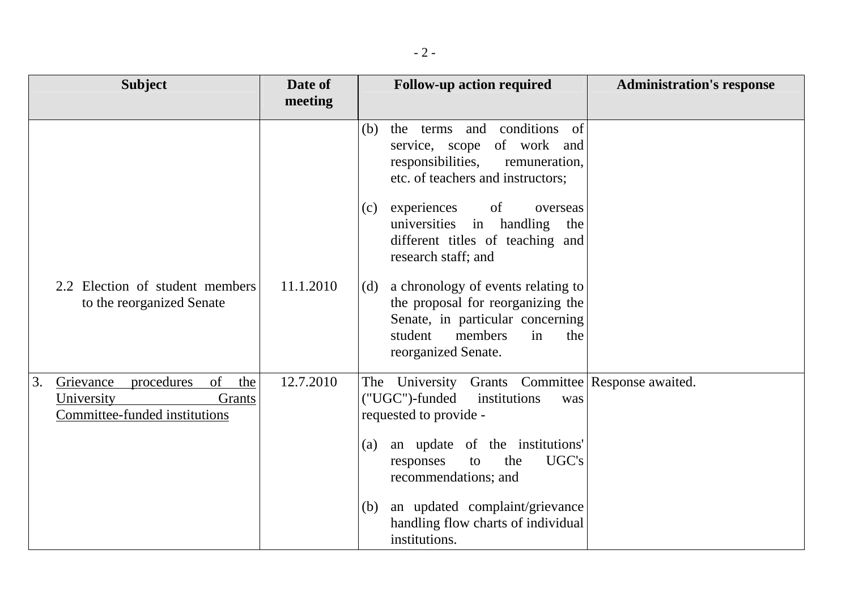| <b>Subject</b>                                                                                      | Date of   | <b>Follow-up action required</b>                                                                                                                                             | <b>Administration's response</b> |
|-----------------------------------------------------------------------------------------------------|-----------|------------------------------------------------------------------------------------------------------------------------------------------------------------------------------|----------------------------------|
|                                                                                                     | meeting   |                                                                                                                                                                              |                                  |
|                                                                                                     |           | the terms and conditions of<br>(b)<br>service, scope of work and<br>responsibilities,<br>remuneration,<br>etc. of teachers and instructors;                                  |                                  |
|                                                                                                     |           | experiences<br>of<br>overseas<br>(c)<br>universities in handling<br>the<br>different titles of teaching and<br>research staff; and                                           |                                  |
| 2.2 Election of student members<br>to the reorganized Senate                                        | 11.1.2010 | a chronology of events relating to<br>(d)<br>the proposal for reorganizing the<br>Senate, in particular concerning<br>student<br>members<br>in<br>the<br>reorganized Senate. |                                  |
| of<br>3.<br>Grievance<br>the<br>procedures<br>University<br>Grants<br>Committee-funded institutions | 12.7.2010 | The University Grants Committee Response awaited.<br>("UGC")-funded<br>institutions<br>was<br>requested to provide -                                                         |                                  |
|                                                                                                     |           | an update of the institutions'<br>(a)<br>UGC's<br>the<br>responses<br>to<br>recommendations; and                                                                             |                                  |
|                                                                                                     |           | an updated complaint/grievance<br>(b)<br>handling flow charts of individual<br>institutions.                                                                                 |                                  |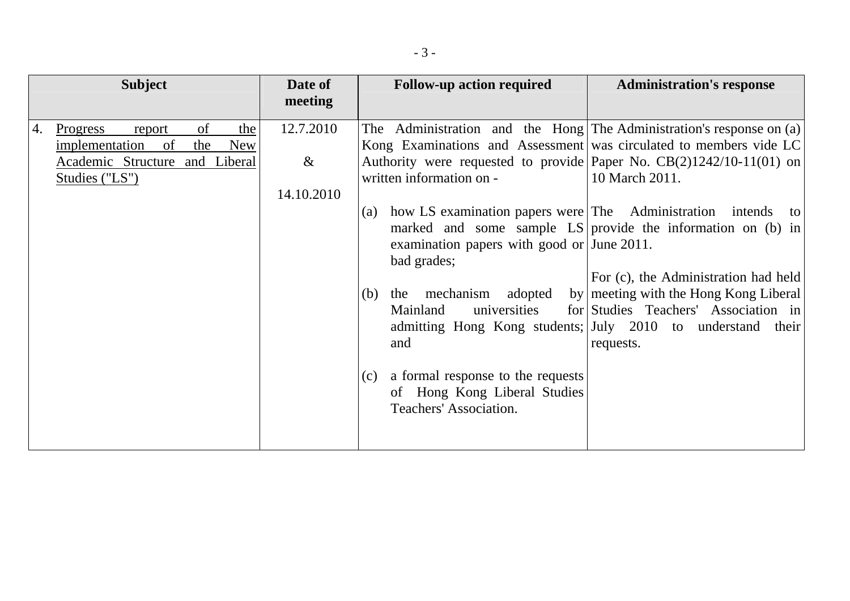| <b>Subject</b> |                                                                                                                                         | Date of                         | <b>Follow-up action required</b><br><b>Administration's response</b>                                                                                                                                                                                                                                                                                                                                     |
|----------------|-----------------------------------------------------------------------------------------------------------------------------------------|---------------------------------|----------------------------------------------------------------------------------------------------------------------------------------------------------------------------------------------------------------------------------------------------------------------------------------------------------------------------------------------------------------------------------------------------------|
|                |                                                                                                                                         | meeting                         |                                                                                                                                                                                                                                                                                                                                                                                                          |
| 4.             | of<br>the<br><b>Progress</b><br>report<br>implementation<br>of<br>the<br><b>New</b><br>Academic Structure and Liberal<br>Studies ("LS") | 12.7.2010<br>$\&$<br>14.10.2010 | The Administration and the Hong The Administration's response on (a)<br>Kong Examinations and Assessment was circulated to members vide LC<br>Authority were requested to provide Paper No. $CB(2)1242/10-11(01)$ on<br>written information on -<br>10 March 2011.<br>how LS examination papers were The Administration intends to<br>(a)<br>marked and some sample LS provide the information on (b) in |
|                |                                                                                                                                         |                                 | examination papers with good or June 2011.<br>bad grades;<br>For (c), the Administration had held<br>by meeting with the Hong Kong Liberal<br>adopted<br>mechanism<br>(b)<br>the<br>for Studies Teachers' Association in<br>Mainland<br>universities<br>admitting Hong Kong students; July 2010 to understand their<br>and<br>requests.                                                                  |
|                |                                                                                                                                         |                                 | a formal response to the requests<br>(c)<br>of Hong Kong Liberal Studies<br>Teachers' Association.                                                                                                                                                                                                                                                                                                       |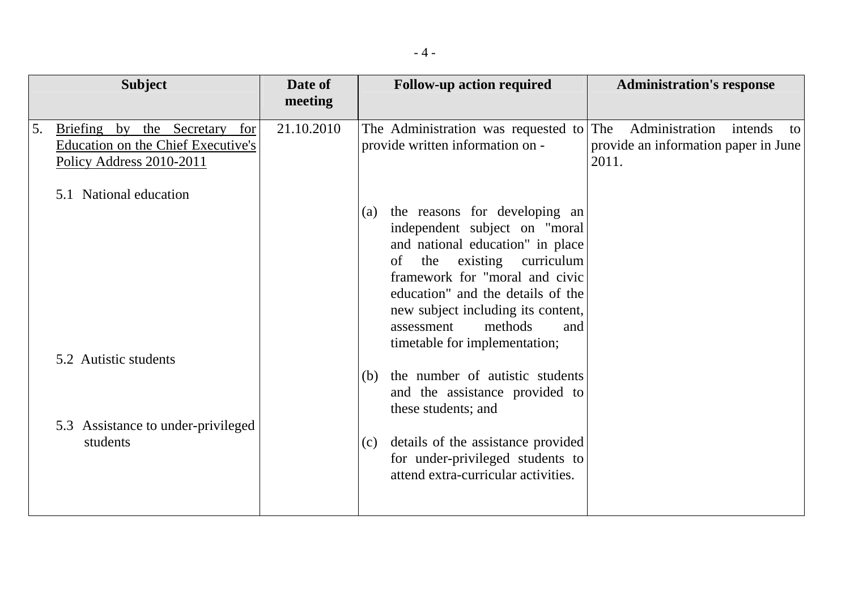| <b>Subject</b> |                                                                                                    | Date of    | <b>Follow-up action required</b> |                                                                                                                                                                                                                                                                                                                      |              | <b>Administration's response</b>                       |                 |
|----------------|----------------------------------------------------------------------------------------------------|------------|----------------------------------|----------------------------------------------------------------------------------------------------------------------------------------------------------------------------------------------------------------------------------------------------------------------------------------------------------------------|--------------|--------------------------------------------------------|-----------------|
|                |                                                                                                    | meeting    |                                  |                                                                                                                                                                                                                                                                                                                      |              |                                                        |                 |
| 5.             | Briefing by the Secretary<br>for<br>Education on the Chief Executive's<br>Policy Address 2010-2011 | 21.10.2010 |                                  | The Administration was requested to<br>provide written information on -                                                                                                                                                                                                                                              | The<br>2011. | Administration<br>provide an information paper in June | intends<br>to l |
|                | National education<br>5.1                                                                          |            |                                  |                                                                                                                                                                                                                                                                                                                      |              |                                                        |                 |
|                |                                                                                                    |            | (a)                              | the reasons for developing an<br>independent subject on "moral<br>and national education" in place<br>existing curriculum<br>the<br>of<br>framework for "moral and civic<br>education" and the details of the<br>new subject including its content,<br>methods<br>and<br>assessment<br>timetable for implementation; |              |                                                        |                 |
|                | 5.2 Autistic students                                                                              |            | (b)                              | the number of autistic students                                                                                                                                                                                                                                                                                      |              |                                                        |                 |
|                |                                                                                                    |            |                                  | and the assistance provided to<br>these students; and                                                                                                                                                                                                                                                                |              |                                                        |                 |
|                | 5.3 Assistance to under-privileged                                                                 |            |                                  |                                                                                                                                                                                                                                                                                                                      |              |                                                        |                 |
|                | students                                                                                           |            | (c)                              | details of the assistance provided<br>for under-privileged students to<br>attend extra-curricular activities.                                                                                                                                                                                                        |              |                                                        |                 |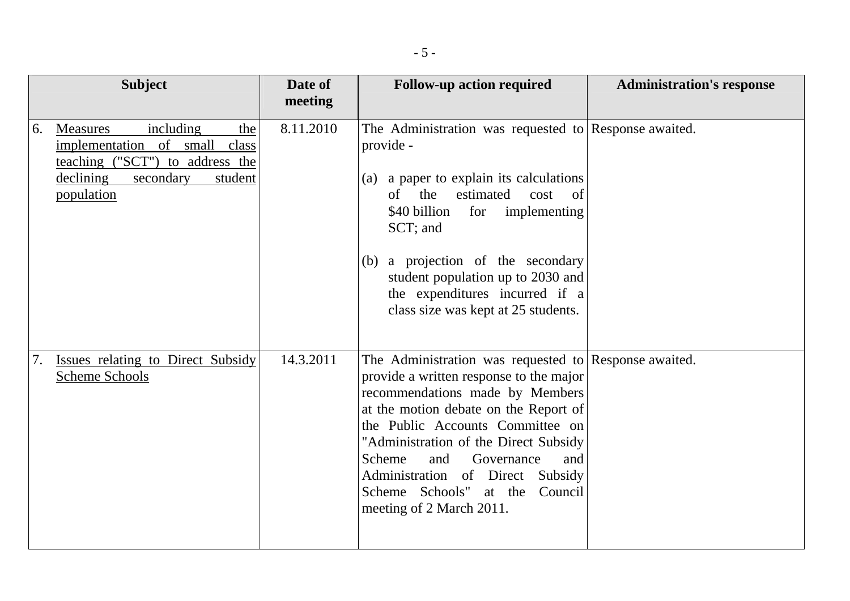| <b>Subject</b> |                                                                                                                                                            | Date of   | <b>Follow-up action required</b>                                                                                                                                                                                                                                                                                                                                                                        | <b>Administration's response</b> |  |
|----------------|------------------------------------------------------------------------------------------------------------------------------------------------------------|-----------|---------------------------------------------------------------------------------------------------------------------------------------------------------------------------------------------------------------------------------------------------------------------------------------------------------------------------------------------------------------------------------------------------------|----------------------------------|--|
|                |                                                                                                                                                            | meeting   |                                                                                                                                                                                                                                                                                                                                                                                                         |                                  |  |
| 6.             | including<br>the<br><b>Measures</b><br>implementation of small class<br>teaching ("SCT") to address the<br>declining<br>secondary<br>student<br>population | 8.11.2010 | The Administration was requested to Response awaited.<br>provide -<br>(a) a paper to explain its calculations<br>of the<br>estimated<br>cost<br><sub>of</sub><br>\$40 billion<br>for<br>implementing<br>SCT; and<br>(b) a projection of the secondary<br>student population up to 2030 and<br>the expenditures incurred if a<br>class size was kept at 25 students.                                     |                                  |  |
| 7.             | Issues relating to Direct Subsidy<br><b>Scheme Schools</b>                                                                                                 | 14.3.2011 | The Administration was requested to Response awaited.<br>provide a written response to the major<br>recommendations made by Members<br>at the motion debate on the Report of<br>the Public Accounts Committee on<br>"Administration of the Direct Subsidy<br>Scheme<br>Governance<br>and<br>and<br>Administration of Direct Subsidy<br>Scheme Schools"<br>Council<br>at the<br>meeting of 2 March 2011. |                                  |  |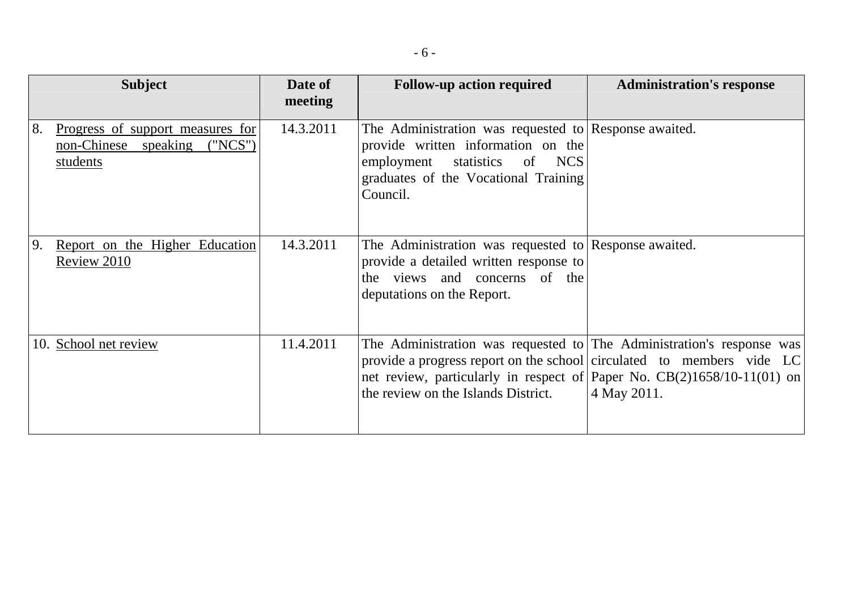|    | <b>Subject</b>                                                               | Date of<br>meeting | <b>Follow-up action required</b>                                                                                                                                                                                                                                   | <b>Administration's response</b> |
|----|------------------------------------------------------------------------------|--------------------|--------------------------------------------------------------------------------------------------------------------------------------------------------------------------------------------------------------------------------------------------------------------|----------------------------------|
| 8. | Progress of support measures for<br>non-Chinese speaking ("NCS")<br>students | 14.3.2011          | The Administration was requested to Response awaited.<br>provide written information on the<br>employment statistics<br>of NCS<br>graduates of the Vocational Training<br>Council.                                                                                 |                                  |
| 9. | Report on the Higher Education<br>Review 2010                                | 14.3.2011          | The Administration was requested to Response awaited.<br>provide a detailed written response to<br>the views and concerns of the<br>deputations on the Report.                                                                                                     |                                  |
|    | 10. School net review                                                        | 11.4.2011          | The Administration was requested to The Administration's response was<br>provide a progress report on the school circulated to members vide LC<br>net review, particularly in respect of Paper No. $CB(2)1658/10-11(01)$ on<br>the review on the Islands District. | 4 May 2011.                      |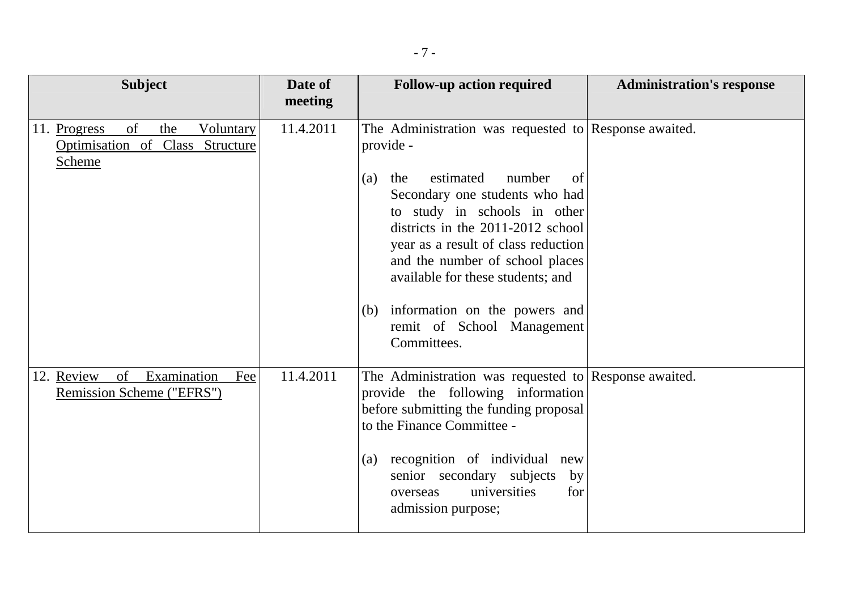| <b>Subject</b>                                                                      | Date of<br>meeting | <b>Follow-up action required</b>                                                                                                                                                                                                                                                                                                                                                                                         | <b>Administration's response</b> |
|-------------------------------------------------------------------------------------|--------------------|--------------------------------------------------------------------------------------------------------------------------------------------------------------------------------------------------------------------------------------------------------------------------------------------------------------------------------------------------------------------------------------------------------------------------|----------------------------------|
| of<br>the<br>11. Progress<br>Voluntary<br>Optimisation of Class Structure<br>Scheme | 11.4.2011          | The Administration was requested to Response awaited.<br>provide -<br>estimated<br>number<br>the<br>of<br>(a)<br>Secondary one students who had<br>to study in schools in other<br>districts in the 2011-2012 school<br>year as a result of class reduction<br>and the number of school places<br>available for these students; and<br>information on the powers and<br>(b)<br>remit of School Management<br>Committees. |                                  |
| 12. Review<br>of<br>Examination<br>Fee<br>Remission Scheme ("EFRS")                 | 11.4.2011          | The Administration was requested to Response awaited.<br>provide the following information<br>before submitting the funding proposal<br>to the Finance Committee -<br>recognition of individual new<br>(a)<br>senior secondary subjects<br>by<br>universities<br>for<br>overseas<br>admission purpose;                                                                                                                   |                                  |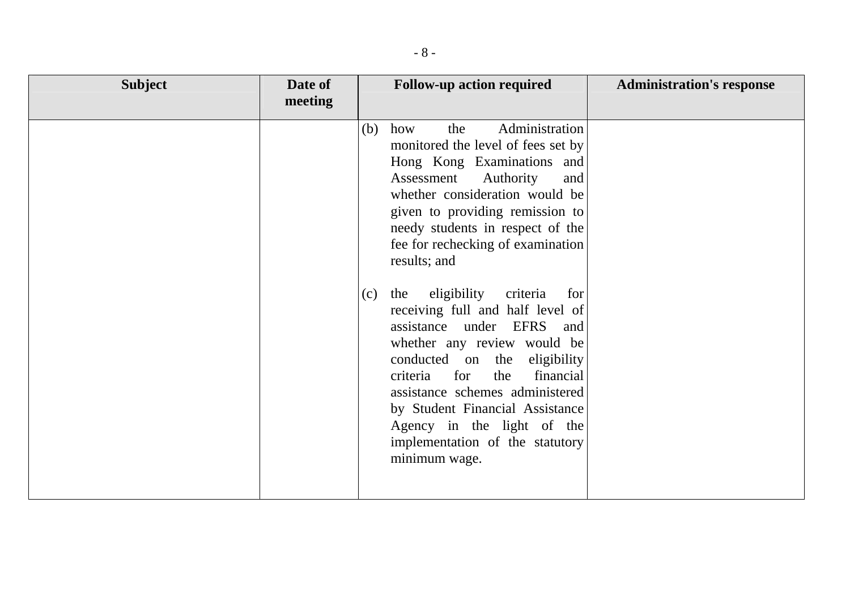| <b>Subject</b> | Date of | <b>Follow-up action required</b>                                                                                                                                                                                                                                                                                                                                                                                                                                                                                                                                                                                                                                                       | <b>Administration's response</b> |
|----------------|---------|----------------------------------------------------------------------------------------------------------------------------------------------------------------------------------------------------------------------------------------------------------------------------------------------------------------------------------------------------------------------------------------------------------------------------------------------------------------------------------------------------------------------------------------------------------------------------------------------------------------------------------------------------------------------------------------|----------------------------------|
|                | meeting |                                                                                                                                                                                                                                                                                                                                                                                                                                                                                                                                                                                                                                                                                        |                                  |
|                |         | Administration<br>how<br>the<br>(b)<br>monitored the level of fees set by<br>Hong Kong Examinations and<br>Assessment<br>Authority<br>and<br>whether consideration would be<br>given to providing remission to<br>needy students in respect of the<br>fee for rechecking of examination<br>results; and<br>eligibility<br>the<br>criteria<br>(c)<br>for<br>receiving full and half level of<br>assistance under EFRS and<br>whether any review would be<br>conducted on the eligibility<br>financial<br>for<br>the<br>criteria<br>assistance schemes administered<br>by Student Financial Assistance<br>Agency in the light of the<br>implementation of the statutory<br>minimum wage. |                                  |